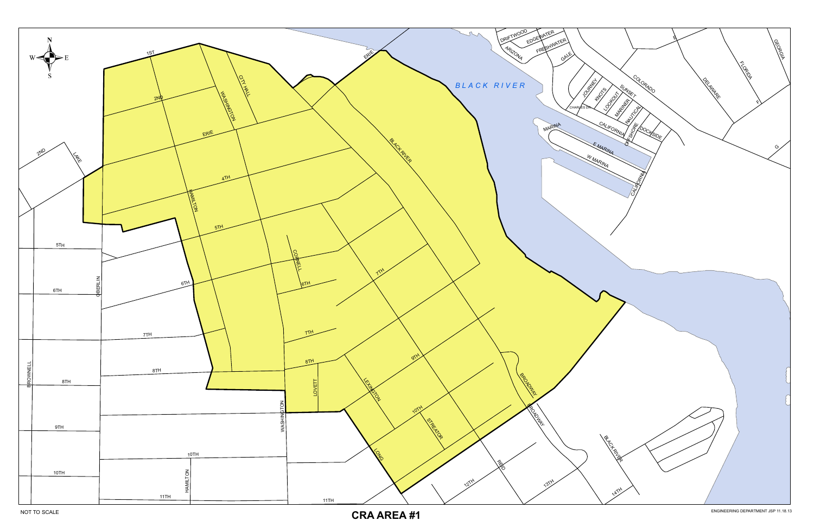

**CRA AREA #1**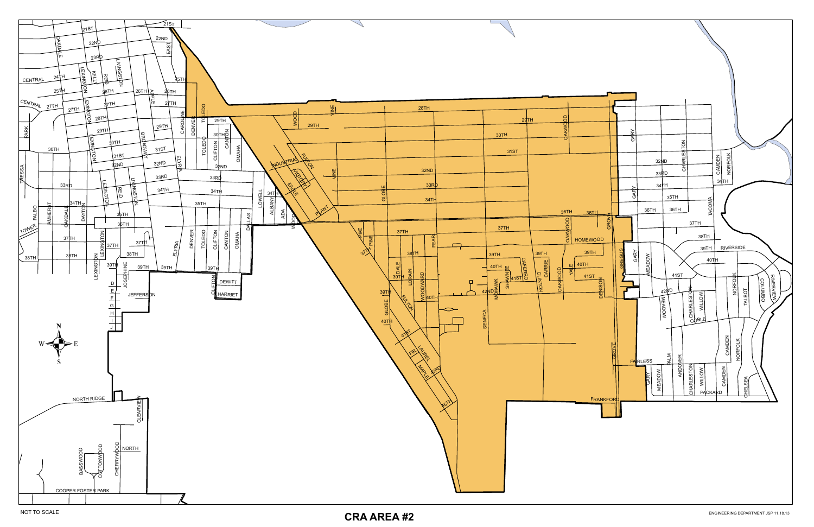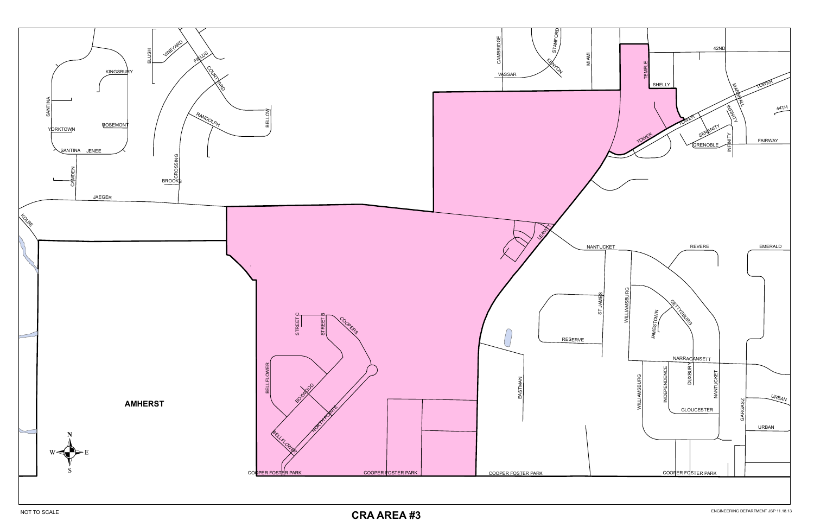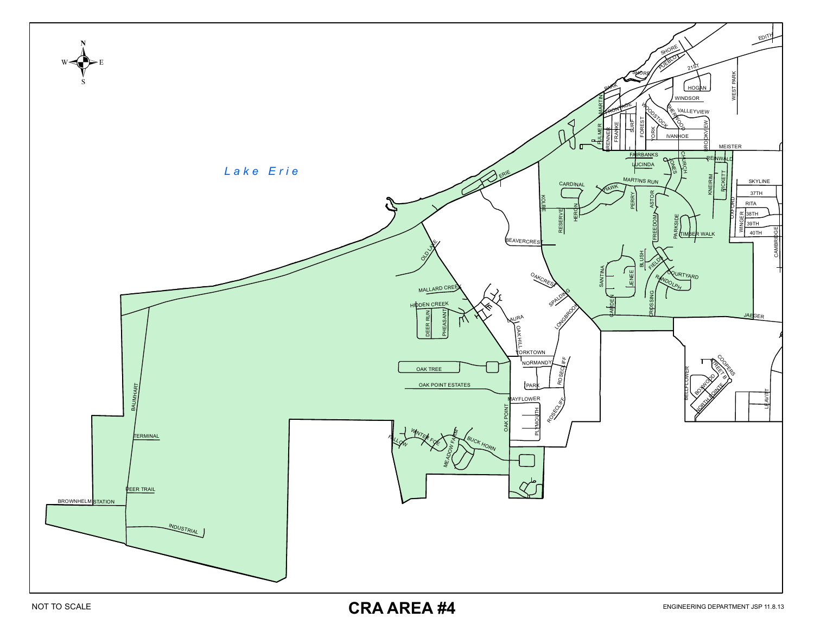